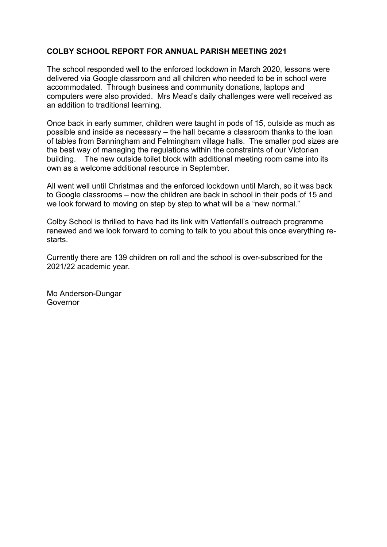## **COLBY SCHOOL REPORT FOR ANNUAL PARISH MEETING 2021**

The school responded well to the enforced lockdown in March 2020, lessons were delivered via Google classroom and all children who needed to be in school were accommodated. Through business and community donations, laptops and computers were also provided. Mrs Mead's daily challenges were well received as an addition to traditional learning.

Once back in early summer, children were taught in pods of 15, outside as much as possible and inside as necessary – the hall became a classroom thanks to the loan of tables from Banningham and Felmingham village halls. The smaller pod sizes are the best way of managing the regulations within the constraints of our Victorian building. The new outside toilet block with additional meeting room came into its own as a welcome additional resource in September.

All went well until Christmas and the enforced lockdown until March, so it was back to Google classrooms – now the children are back in school in their pods of 15 and we look forward to moving on step by step to what will be a "new normal."

Colby School is thrilled to have had its link with Vattenfall's outreach programme renewed and we look forward to coming to talk to you about this once everything restarts.

Currently there are 139 children on roll and the school is over-subscribed for the 2021/22 academic year.

Mo Anderson-Dungar Governor